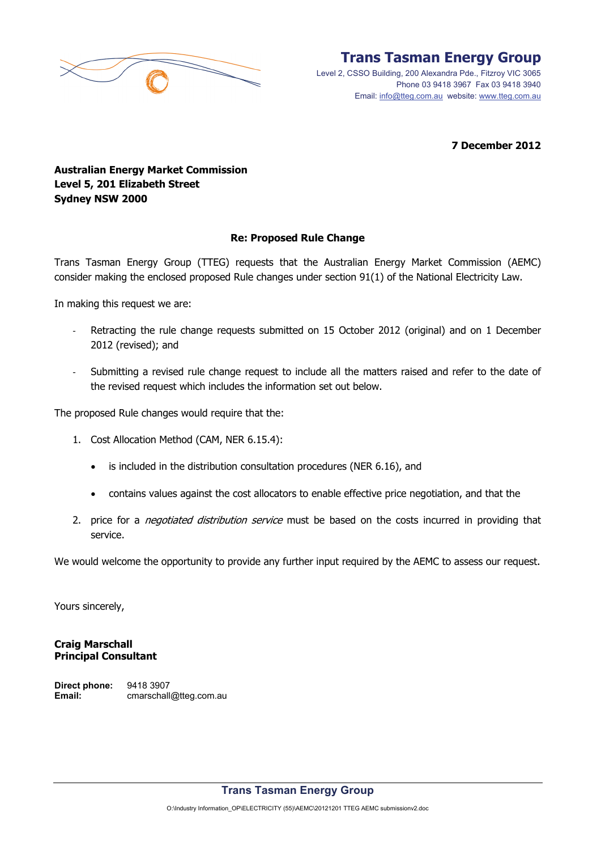

Level 2, CSSO Building, 200 Alexandra Pde., Fitzroy VIC 3065 Phone 03 9418 3967 Fax 03 9418 3940 Email: info@tteg.com.au website: www.tteg.com.au

**7 December 2012** 

# **Australian Energy Market Commission Level 5, 201 Elizabeth Street Sydney NSW 2000**

### **Re: Proposed Rule Change**

Trans Tasman Energy Group (TTEG) requests that the Australian Energy Market Commission (AEMC) consider making the enclosed proposed Rule changes under section 91(1) of the National Electricity Law.

In making this request we are:

- Retracting the rule change requests submitted on 15 October 2012 (original) and on 1 December 2012 (revised); and
- Submitting a revised rule change request to include all the matters raised and refer to the date of the revised request which includes the information set out below.

The proposed Rule changes would require that the:

- 1. Cost Allocation Method (CAM, NER 6.15.4):
	- is included in the distribution consultation procedures (NER 6.16), and
	- contains values against the cost allocators to enable effective price negotiation, and that the
- 2. price for a *negotiated distribution service* must be based on the costs incurred in providing that service.

We would welcome the opportunity to provide any further input required by the AEMC to assess our request.

Yours sincerely,

#### **Craig Marschall Principal Consultant**

**Direct phone:** 9418 3907 Email: cmarschall@tteg.com.au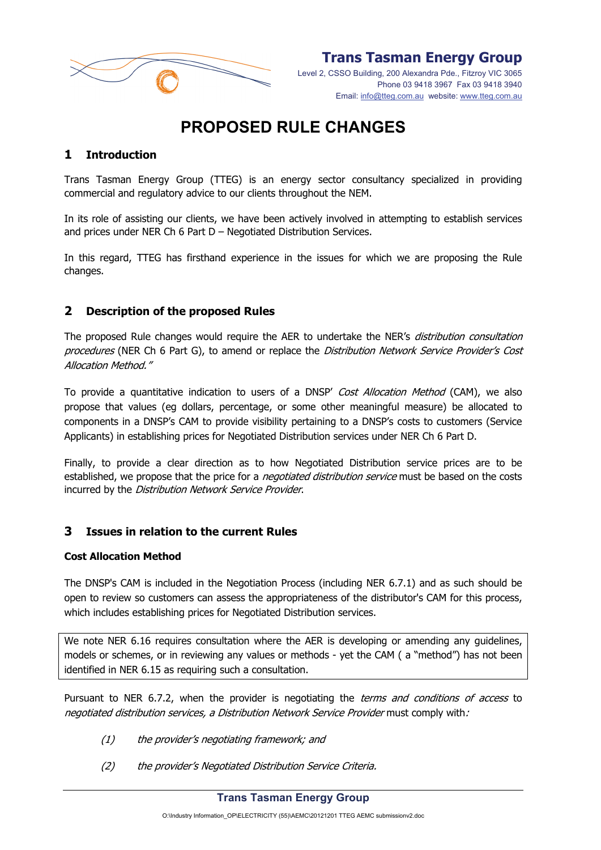

Level 2, CSSO Building, 200 Alexandra Pde., Fitzroy VIC 3065 Phone 03 9418 3967 Fax 03 9418 3940 Email: info@tteg.com.au website: www.tteg.com.au

# **PROPOSED RULE CHANGES**

# **1 Introduction**

Trans Tasman Energy Group (TTEG) is an energy sector consultancy specialized in providing commercial and regulatory advice to our clients throughout the NEM.

In its role of assisting our clients, we have been actively involved in attempting to establish services and prices under NER Ch 6 Part D – Negotiated Distribution Services.

In this regard, TTEG has firsthand experience in the issues for which we are proposing the Rule changes.

### **2 Description of the proposed Rules**

The proposed Rule changes would require the AER to undertake the NER's distribution consultation procedures (NER Ch 6 Part G), to amend or replace the Distribution Network Service Provider's Cost Allocation Method."

To provide a quantitative indication to users of a DNSP' Cost Allocation Method (CAM), we also propose that values (eg dollars, percentage, or some other meaningful measure) be allocated to components in a DNSP's CAM to provide visibility pertaining to a DNSP's costs to customers (Service Applicants) in establishing prices for Negotiated Distribution services under NER Ch 6 Part D.

Finally, to provide a clear direction as to how Negotiated Distribution service prices are to be established, we propose that the price for a *negotiated distribution service* must be based on the costs incurred by the Distribution Network Service Provider.

### **3 Issues in relation to the current Rules**

#### **Cost Allocation Method**

The DNSP's CAM is included in the Negotiation Process (including NER 6.7.1) and as such should be open to review so customers can assess the appropriateness of the distributor's CAM for this process, which includes establishing prices for Negotiated Distribution services.

We note NER 6.16 requires consultation where the AER is developing or amending any quidelines, models or schemes, or in reviewing any values or methods - yet the CAM ( a "method") has not been identified in NER 6.15 as requiring such a consultation.

Pursuant to NER 6.7.2, when the provider is negotiating the *terms and conditions of access* to negotiated distribution services, a Distribution Network Service Provider must comply with:

- (1) the provider's negotiating framework; and
- (2) the provider's Negotiated Distribution Service Criteria.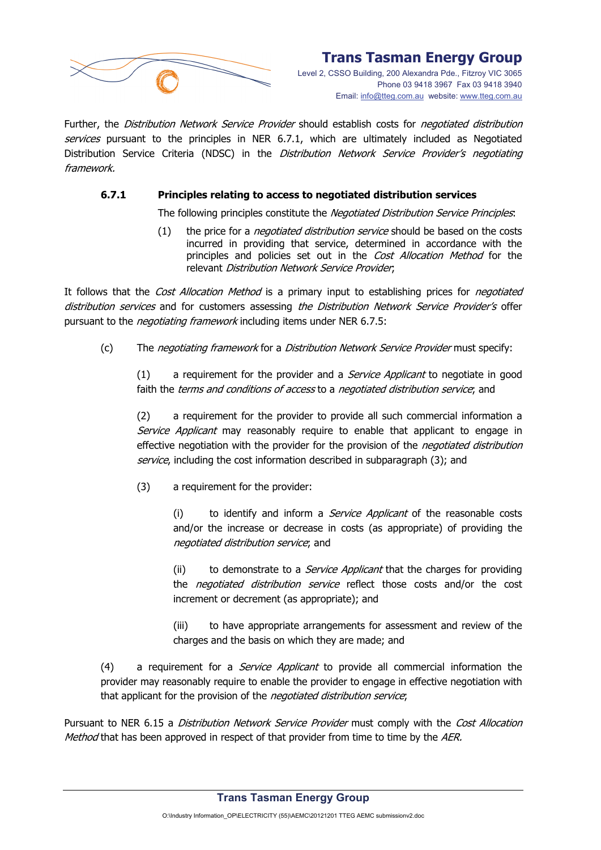

Level 2, CSSO Building, 200 Alexandra Pde., Fitzroy VIC 3065 Phone 03 9418 3967 Fax 03 9418 3940 Email: info@tteg.com.au website: www.tteg.com.au

Further, the *Distribution Network Service Provider* should establish costs for *negotiated distribution* services pursuant to the principles in NER 6.7.1, which are ultimately included as Negotiated Distribution Service Criteria (NDSC) in the Distribution Network Service Provider's negotiating framework.

#### **6.7.1 Principles relating to access to negotiated distribution services**

The following principles constitute the Negotiated Distribution Service Principles:

(1) the price for a *negotiated distribution service* should be based on the costs incurred in providing that service, determined in accordance with the principles and policies set out in the Cost Allocation Method for the relevant Distribution Network Service Provider;

It follows that the Cost Allocation Method is a primary input to establishing prices for negotiated distribution services and for customers assessing the Distribution Network Service Provider's offer pursuant to the *negotiating framework* including items under NER 6.7.5:

(c) The *negotiating framework* for a *Distribution Network Service Provider* must specify:

 $(1)$  a requirement for the provider and a *Service Applicant* to negotiate in good faith the terms and conditions of access to a negotiated distribution service; and

(2) a requirement for the provider to provide all such commercial information a Service Applicant may reasonably require to enable that applicant to engage in effective negotiation with the provider for the provision of the *negotiated distribution* service, including the cost information described in subparagraph (3); and

(3) a requirement for the provider:

(i) to identify and inform a *Service Applicant* of the reasonable costs and/or the increase or decrease in costs (as appropriate) of providing the negotiated distribution service; and

(ii) to demonstrate to a *Service Applicant* that the charges for providing the *negotiated distribution service* reflect those costs and/or the cost increment or decrement (as appropriate); and

(iii) to have appropriate arrangements for assessment and review of the charges and the basis on which they are made; and

(4) a requirement for a *Service Applicant* to provide all commercial information the provider may reasonably require to enable the provider to engage in effective negotiation with that applicant for the provision of the *negotiated distribution service*;

Pursuant to NER 6.15 a Distribution Network Service Provider must comply with the Cost Allocation Method that has been approved in respect of that provider from time to time by the AER.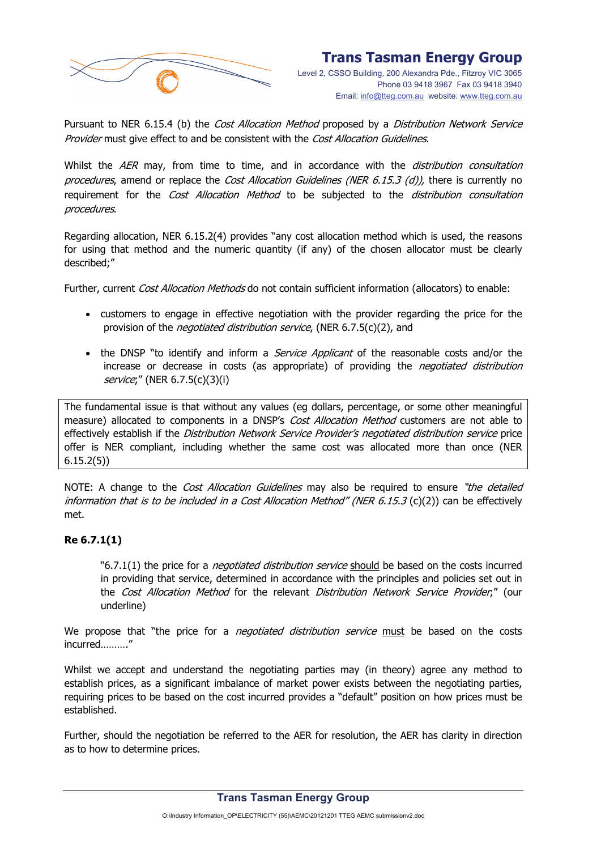

Pursuant to NER 6.15.4 (b) the Cost Allocation Method proposed by a Distribution Network Service Provider must give effect to and be consistent with the Cost Allocation Guidelines.

Whilst the AER may, from time to time, and in accordance with the *distribution consultation* procedures, amend or replace the Cost Allocation Guidelines (NER 6.15.3 (d)), there is currently no requirement for the Cost Allocation Method to be subjected to the distribution consultation procedures.

Regarding allocation, NER 6.15.2(4) provides "any cost allocation method which is used, the reasons for using that method and the numeric quantity (if any) of the chosen allocator must be clearly described;"

Further, current *Cost Allocation Methods* do not contain sufficient information (allocators) to enable:

- customers to engage in effective negotiation with the provider regarding the price for the provision of the *negotiated distribution service*, (NER 6.7.5(c)(2), and
- the DNSP "to identify and inform a *Service Applicant* of the reasonable costs and/or the increase or decrease in costs (as appropriate) of providing the *negotiated distribution* service;" (NER 6.7.5(c)(3)(i)

The fundamental issue is that without any values (eg dollars, percentage, or some other meaningful measure) allocated to components in a DNSP's Cost Allocation Method customers are not able to effectively establish if the Distribution Network Service Provider's negotiated distribution service price offer is NER compliant, including whether the same cost was allocated more than once (NER 6.15.2(5))

NOTE: A change to the *Cost Allocation Guidelines* may also be required to ensure "the detailed information that is to be included in a Cost Allocation Method" (NER  $6.15.3$  (c)(2)) can be effectively met.

### **Re 6.7.1(1)**

"6.7.1(1) the price for a *negotiated distribution service* should be based on the costs incurred in providing that service, determined in accordance with the principles and policies set out in the Cost Allocation Method for the relevant Distribution Network Service Provider;" (our underline)

We propose that "the price for a *negotiated distribution service* must be based on the costs incurred………."

Whilst we accept and understand the negotiating parties may (in theory) agree any method to establish prices, as a significant imbalance of market power exists between the negotiating parties, requiring prices to be based on the cost incurred provides a "default" position on how prices must be established.

Further, should the negotiation be referred to the AER for resolution, the AER has clarity in direction as to how to determine prices.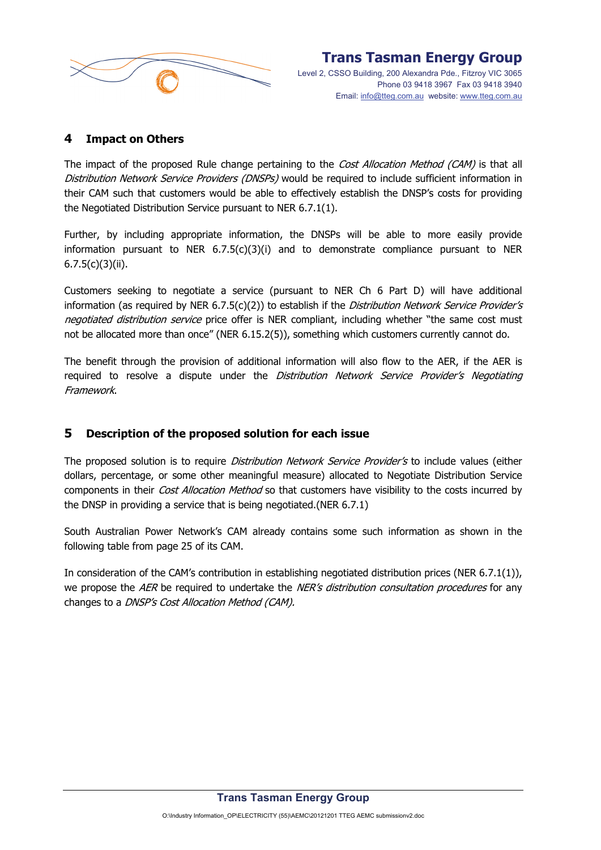

# **4 Impact on Others**

The impact of the proposed Rule change pertaining to the *Cost Allocation Method (CAM)* is that all Distribution Network Service Providers (DNSPs) would be required to include sufficient information in their CAM such that customers would be able to effectively establish the DNSP's costs for providing the Negotiated Distribution Service pursuant to NER 6.7.1(1).

Further, by including appropriate information, the DNSPs will be able to more easily provide information pursuant to NER 6.7.5(c)(3)(i) and to demonstrate compliance pursuant to NER  $6.7.5(c)(3)(ii)$ .

Customers seeking to negotiate a service (pursuant to NER Ch 6 Part D) will have additional information (as required by NER 6.7.5(c)(2)) to establish if the *Distribution Network Service Provider's* negotiated distribution service price offer is NER compliant, including whether "the same cost must not be allocated more than once" (NER 6.15.2(5)), something which customers currently cannot do.

The benefit through the provision of additional information will also flow to the AER, if the AER is required to resolve a dispute under the *Distribution Network Service Provider's Negotiating* Framework.

# **5 Description of the proposed solution for each issue**

The proposed solution is to require *Distribution Network Service Provider's* to include values (either dollars, percentage, or some other meaningful measure) allocated to Negotiate Distribution Service components in their Cost Allocation Method so that customers have visibility to the costs incurred by the DNSP in providing a service that is being negotiated.(NER 6.7.1)

South Australian Power Network's CAM already contains some such information as shown in the following table from page 25 of its CAM.

In consideration of the CAM's contribution in establishing negotiated distribution prices (NER 6.7.1(1)), we propose the AER be required to undertake the NER's distribution consultation procedures for any changes to a DNSP's Cost Allocation Method (CAM).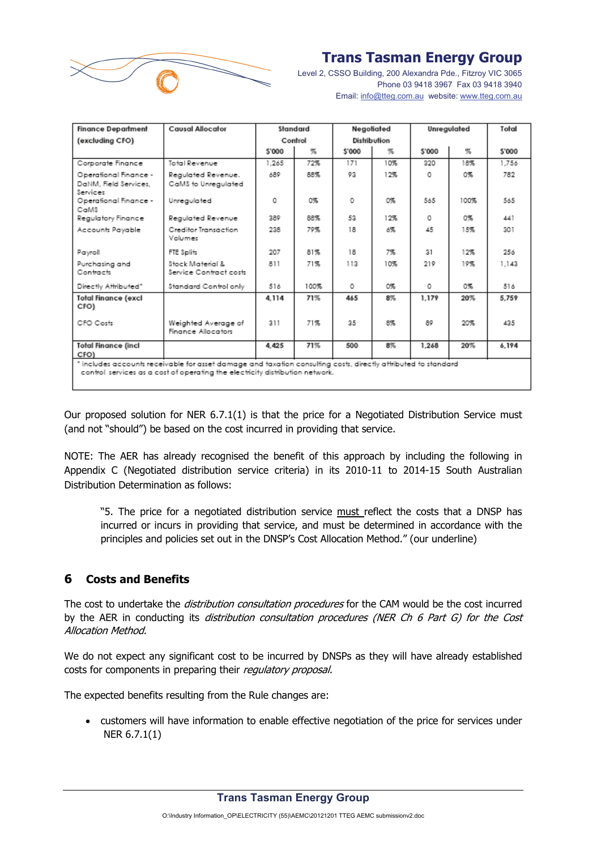

Level 2, CSSO Building, 200 Alexandra Pde., Fitzroy VIC 3065 Phone 03 9418 3967 Fax 03 9418 3940 Email: info@tteg.com.au website: www.tteg.com.au

| <b>Finance Department</b>                                                                                                                                                                       | <b>Causal Allocator</b>                    | Standard |      | Negotiated   |     | Unregulated |      | Total  |
|-------------------------------------------------------------------------------------------------------------------------------------------------------------------------------------------------|--------------------------------------------|----------|------|--------------|-----|-------------|------|--------|
| (excluding CFO)                                                                                                                                                                                 |                                            | Control  |      | Distribution |     |             |      |        |
|                                                                                                                                                                                                 |                                            | \$'000   | 冤    | \$'000       | %   | \$'000      | %    | \$'000 |
| Corporate Finance                                                                                                                                                                               | Total Revenue                              | 1.265    | 72%  | 171          | 10% | 320         | 18%  | 1.756  |
| Operational Finance -<br>DaNM, Field Services,<br>Services                                                                                                                                      | Regulated Revenue.<br>CaMS to Unregulated  | 689      | 88%  | 93           | 12% | 0           | 0%   | 782    |
| Operational Finance -<br>CaMS                                                                                                                                                                   | Unregulated                                | ٥        | 0%   | O            | O%  | 565         | 100% | 565    |
| Regulatory Finance                                                                                                                                                                              | Regulated Revenue                          | 389      | 88%  | 53           | 12% | ٥           | 0%   | 441    |
| Accounts Payable                                                                                                                                                                                | Creditor Iransaction<br>Volumes            | 238      | 79%  | 18           | 6%  | 45          | 15%  | 301    |
| Payroll                                                                                                                                                                                         | FTE Splits                                 | 207      | 81%  | 18           | 7%  | 31          | 12%  | 256    |
| Purchasing and<br>Contracts                                                                                                                                                                     | Stack Material &<br>Service Contract costs | 811      | 71%  | 113          | 10% | 219         | 19%  | 1.143  |
| Directly Attributed"                                                                                                                                                                            | Standard Control only                      | 516      | 100% | O            | O%  | ٥           | 0%   | 516    |
| <b>Total Finance (excl</b><br>CFO)                                                                                                                                                              |                                            | 4.114    | 71%  | 465          | 8%  | 1.179       | 20%  | 5.759  |
| CFO Costs                                                                                                                                                                                       | Weighted Average of<br>Finance Allocators  | 211      | 71%  | 35           | 8%  | 89          | 20%  | 435    |
| <b>Total Finance (incl</b><br>CFO)                                                                                                                                                              |                                            | 4.425    | 71%  | 500          | 8%  | 1.268       | 20%  | 6.194  |
| " includes accounts receivable for asset damage and taxation consulting costs, directly attributed to standard<br>control services as a cost of operating the electricity distribution network. |                                            |          |      |              |     |             |      |        |

Our proposed solution for NER 6.7.1(1) is that the price for a Negotiated Distribution Service must (and not "should") be based on the cost incurred in providing that service.

NOTE: The AER has already recognised the benefit of this approach by including the following in Appendix C (Negotiated distribution service criteria) in its 2010-11 to 2014-15 South Australian Distribution Determination as follows:

"5. The price for a negotiated distribution service must reflect the costs that a DNSP has incurred or incurs in providing that service, and must be determined in accordance with the principles and policies set out in the DNSP's Cost Allocation Method." (our underline)

# **6 Costs and Benefits**

The cost to undertake the *distribution consultation procedures* for the CAM would be the cost incurred by the AER in conducting its *distribution consultation procedures (NER Ch 6 Part G) for the Cost* Allocation Method.

We do not expect any significant cost to be incurred by DNSPs as they will have already established costs for components in preparing their regulatory proposal.

The expected benefits resulting from the Rule changes are:

• customers will have information to enable effective negotiation of the price for services under NER 6.7.1(1)